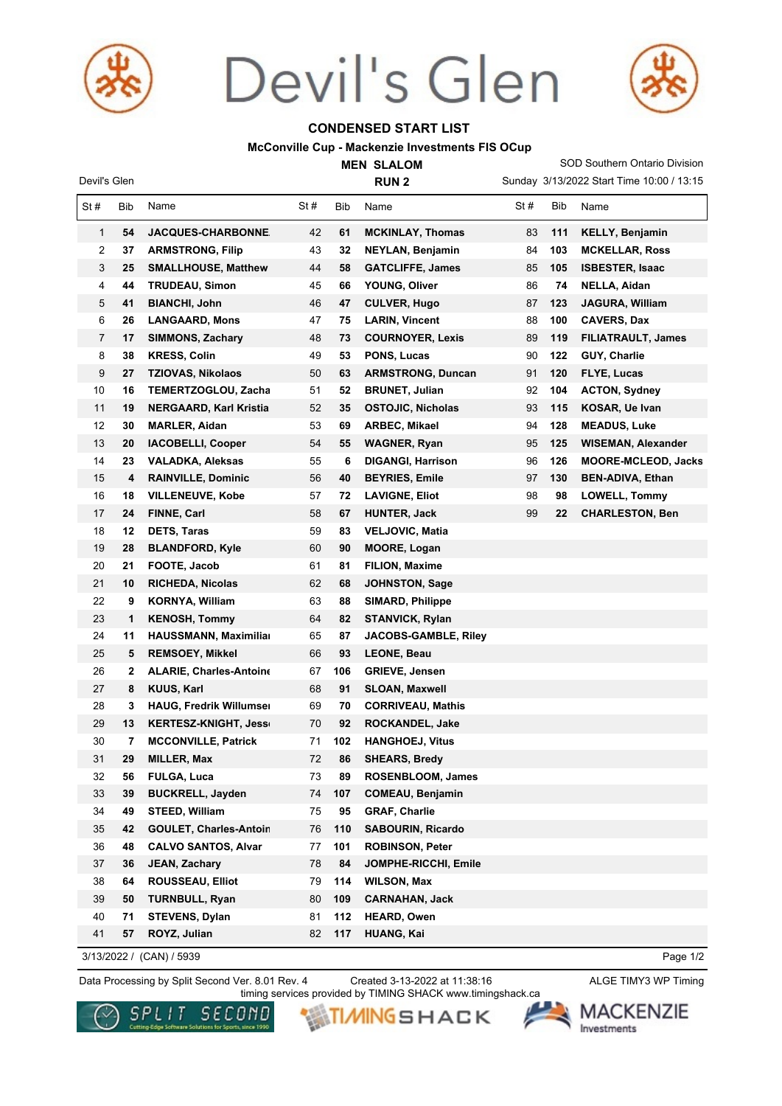

## Devil's Glen



SOD Southern Ontario Division

## **CONDENSED START LIST**

## **McConville Cup - Mackenzie Investments FIS OCup**

**MEN SLALOM**  Sunday 3/13/2022 Start Time 10:00 / 13:15 Devil's Glen **RUN 2** St # Bib Name St # Bib Name St # Bib Name **54 JACQUES-CHARBONNEAU, Noah**42 **61 MCKINLAY, Thomas** 83 **111 KELLY, Benjamin 37 ARMSTRONG, Filip** 43 **32 NEYLAN, Benjamin** 84 **103 MCKELLAR, Ross 25 SMALLHOUSE, Matthew** 44 **58 GATCLIFFE, James** 85 **105 ISBESTER, Isaac 44 TRUDEAU, Simon** 45 **66 YOUNG, Oliver** 86 **74 NELLA, Aidan 41 BIANCHI, John** 46 **47 CULVER, Hugo** 87 **123 JAGURA, William 26 LANGAARD, Mons** 47 **75 LARIN, Vincent** 88 **100 CAVERS, Dax 17 SIMMONS, Zachary** 48 **73 COURNOYER, Lexis** 89 **119 FILIATRAULT, James 38 KRESS, Colin** 49 **53 PONS, Lucas** 90 **122 GUY, Charlie 27 TZIOVAS, Nikolaos** 50 **63 ARMSTRONG, Duncan** 91 **120 FLYE, Lucas 16 TEMERTZOGLOU, Zachary** 51 **52 BRUNET, Julian** 92 **104 ACTON, Sydney 19 NERGAARD, Karl Kristian** 52 **35 OSTOJIC, Nicholas** 93 **115 KOSAR, Ue Ivan 30 MARLER, Aidan** 53 **69 ARBEC, Mikael** 94 **128 MEADUS, Luke 20 IACOBELLI, Cooper** 54 **55 WAGNER, Ryan** 95 **125 WISEMAN, Alexander 23 VALADKA, Aleksas** 55 **6 DIGANGI, Harrison** 96 **126 MOORE-MCLEOD, Jackson 4 RAINVILLE, Dominic** 56 **40 BEYRIES, Emile** 97 **130 BEN-ADIVA, Ethan 18 VILLENEUVE, Kobe** 57 **72 LAVIGNE, Eliot** 98 **98 LOWELL, Tommy 24 FINNE, Carl** 58 **67 HUNTER, Jack** 99 **22 CHARLESTON, Ben 12 DETS, Taras** 59 **83 VELJOVIC, Matia 28 BLANDFORD, Kyle** 60 **90 MOORE, Logan 21 FOOTE, Jacob** 61 **81 FILION, Maxime 10 RICHEDA, Nicolas** 62 **68 JOHNSTON, Sage 9 KORNYA, William** 63 **88 SIMARD, Philippe 1 KENOSH, Tommy** 64 **82 STANVICK, Rylan 11 HAUSSMANN, Maximilian** 65 **87 JACOBS-GAMBLE, Riley 5 REMSOEY, Mikkel** 66 **93 LEONE, Beau 2 ALARIE, Charles-Antoine** 67 **106 GRIEVE, Jensen 8 KUUS, Karl** 68 **91 SLOAN, Maxwell 3 HAUG, Fredrik Willumsen** 69 **70 CORRIVEAU, Mathis 13 KERTESZ-KNIGHT, Jesse** 70 **92 ROCKANDEL, Jake 7 MCCONVILLE, Patrick** 71 **102 HANGHOEJ, Vitus 29 MILLER, Max** 72 **86 SHEARS, Bredy 56 FULGA, Luca** 73 **89 ROSENBLOOM, James 39 BUCKRELL, Jayden** 74 **107 COMEAU, Benjamin 49 STEED, William** 75 **95 GRAF, Charlie 42 GOULET, Charles-Antoine** 76 **110 SABOURIN, Ricardo 48 CALVO SANTOS, Alvar** 77 **101 ROBINSON, Peter 36 JEAN, Zachary** 78 **84 JOMPHE-RICCHI, Emile 64 ROUSSEAU, Elliot** 79 **114 WILSON, Max 50 TURNBULL, Ryan** 80 **109 CARNAHAN, Jack 71 STEVENS, Dylan** 81 **112 HEARD, Owen 57 ROYZ, Julian** 82 **117 HUANG, Kai**

3/13/2022 / (CAN) / 5939

Data Processing by Split Second Ver. 8.01 Rev. 4 Created 3-13-2022 at 11:38:16 ALGE TIMY3 WP Timing Created 3-13-2022 at 11:38:16 timing services provided by TIMING SHACK www.timingshack.ca

Page 1/2



**TIMINGSHACK**